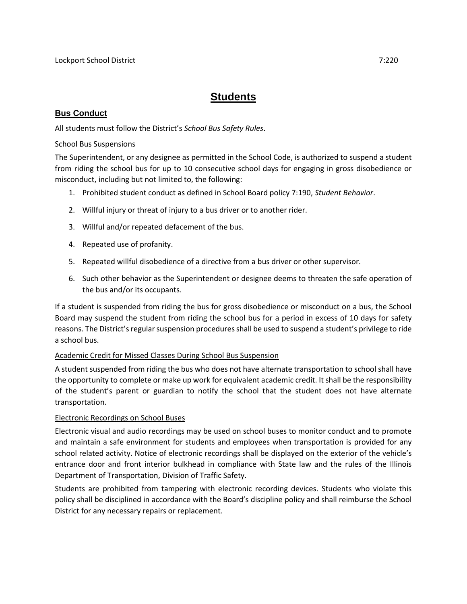# **Students**

# **Bus Conduct**

All students must follow the District's *School Bus Safety Rules*.

#### School Bus Suspensions

The Superintendent, or any designee as permitted in the School Code, is authorized to suspend a student from riding the school bus for up to 10 consecutive school days for engaging in gross disobedience or misconduct, including but not limited to, the following:

- 1. Prohibited student conduct as defined in School Board policy 7:190, *Student Behavior*.
- 2. Willful injury or threat of injury to a bus driver or to another rider.
- 3. Willful and/or repeated defacement of the bus.
- 4. Repeated use of profanity.
- 5. Repeated willful disobedience of a directive from a bus driver or other supervisor.
- 6. Such other behavior as the Superintendent or designee deems to threaten the safe operation of the bus and/or its occupants.

If a student is suspended from riding the bus for gross disobedience or misconduct on a bus, the School Board may suspend the student from riding the school bus for a period in excess of 10 days for safety reasons. The District's regular suspension procedures shall be used to suspend a student's privilege to ride a school bus.

## Academic Credit for Missed Classes During School Bus Suspension

A student suspended from riding the bus who does not have alternate transportation to school shall have the opportunity to complete or make up work for equivalent academic credit. It shall be the responsibility of the student's parent or guardian to notify the school that the student does not have alternate transportation.

## Electronic Recordings on School Buses

Electronic visual and audio recordings may be used on school buses to monitor conduct and to promote and maintain a safe environment for students and employees when transportation is provided for any school related activity. Notice of electronic recordings shall be displayed on the exterior of the vehicle's entrance door and front interior bulkhead in compliance with State law and the rules of the Illinois Department of Transportation, Division of Traffic Safety.

Students are prohibited from tampering with electronic recording devices. Students who violate this policy shall be disciplined in accordance with the Board's discipline policy and shall reimburse the School District for any necessary repairs or replacement.